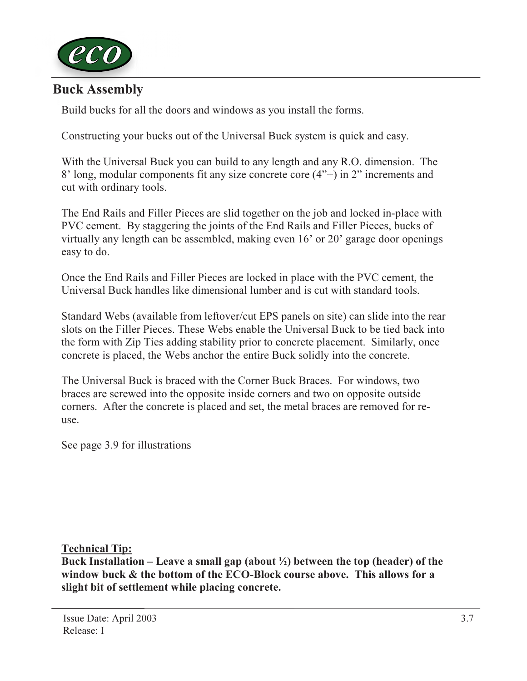

## Buck Assembly

Build bucks for all the doors and windows as you install the forms.

Constructing your bucks out of the Universal Buck system is quick and easy.

With the Universal Buck you can build to any length and any R.O. dimension. The 8' long, modular components fit any size concrete core (4"+) in 2" increments and cut with ordinary tools.

The End Rails and Filler Pieces are slid together on the job and locked in-place with PVC cement. By staggering the joints of the End Rails and Filler Pieces, bucks of virtually any length can be assembled, making even 16' or 20' garage door openings easy to do.

Once the End Rails and Filler Pieces are locked in place with the PVC cement, the Universal Buck handles like dimensional lumber and is cut with standard tools.

Standard Webs (available from leftover/cut EPS panels on site) can slide into the rear slots on the Filler Pieces. These Webs enable the Universal Buck to be tied back into the form with Zip Ties adding stability prior to concrete placement. Similarly, once concrete is placed, the Webs anchor the entire Buck solidly into the concrete.

The Universal Buck is braced with the Corner Buck Braces. For windows, two braces are screwed into the opposite inside corners and two on opposite outside corners. After the concrete is placed and set, the metal braces are removed for reuse.

See page 3.9 for illustrations

Technical Tip:

Buck Installation – Leave a small gap (about  $\frac{1}{2}$ ) between the top (header) of the window buck & the bottom of the ECO-Block course above. This allows for a slight bit of settlement while placing concrete.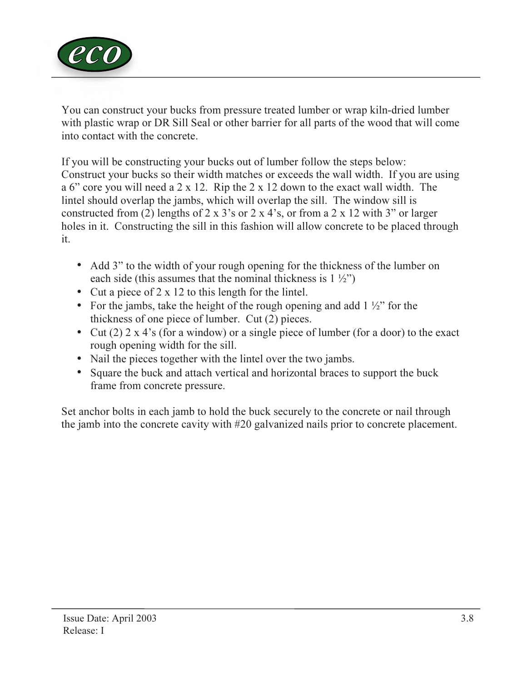

You can construct your bucks from pressure treated lumber or wrap kiln-dried lumber with plastic wrap or DR Sill Seal or other barrier for all parts of the wood that will come into contact with the concrete.

If you will be constructing your bucks out of lumber follow the steps below: Construct your bucks so their width matches or exceeds the wall width. If you are using a 6" core you will need a 2 x 12. Rip the 2 x 12 down to the exact wall width. The lintel should overlap the jambs, which will overlap the sill. The window sill is constructed from (2) lengths of 2 x 3's or 2 x 4's, or from a 2 x 12 with 3" or larger holes in it. Constructing the sill in this fashion will allow concrete to be placed through it.

- Add 3" to the width of your rough opening for the thickness of the lumber on each side (this assumes that the nominal thickness is  $1\frac{1}{2}$ ")
- Cut a piece of 2 x 12 to this length for the lintel.
- For the jambs, take the height of the rough opening and add  $1\frac{1}{2}$ " for the thickness of one piece of lumber. Cut (2) pieces.
- Cut (2)  $2 \times 4$ 's (for a window) or a single piece of lumber (for a door) to the exact rough opening width for the sill.
- Nail the pieces together with the lintel over the two jambs.
- Square the buck and attach vertical and horizontal braces to support the buck frame from concrete pressure.

Set anchor bolts in each jamb to hold the buck securely to the concrete or nail through the jamb into the concrete cavity with #20 galvanized nails prior to concrete placement.